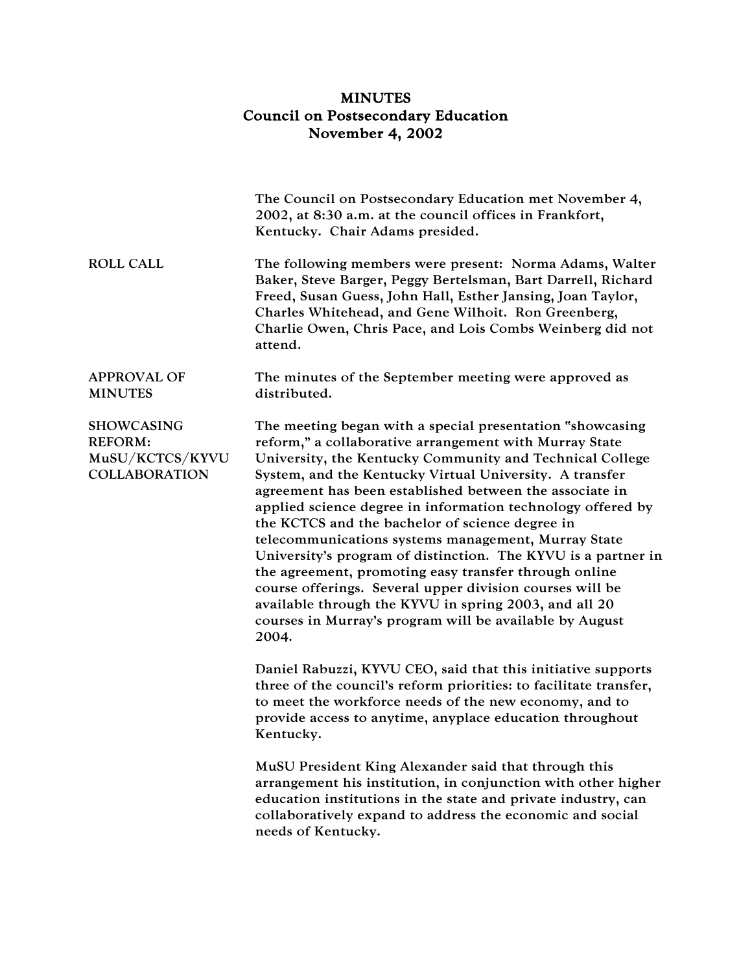## MINUTES Council on Postsecondary Education November 4, 2002

|                                                                                | The Council on Postsecondary Education met November 4,<br>2002, at 8:30 a.m. at the council offices in Frankfort,<br>Kentucky. Chair Adams presided.                                                                                                                                                                                                                                                                                                                                                                                                                                                                                                                                                                                                                                              |
|--------------------------------------------------------------------------------|---------------------------------------------------------------------------------------------------------------------------------------------------------------------------------------------------------------------------------------------------------------------------------------------------------------------------------------------------------------------------------------------------------------------------------------------------------------------------------------------------------------------------------------------------------------------------------------------------------------------------------------------------------------------------------------------------------------------------------------------------------------------------------------------------|
| <b>ROLL CALL</b>                                                               | The following members were present: Norma Adams, Walter<br>Baker, Steve Barger, Peggy Bertelsman, Bart Darrell, Richard<br>Freed, Susan Guess, John Hall, Esther Jansing, Joan Taylor,<br>Charles Whitehead, and Gene Wilhoit. Ron Greenberg,<br>Charlie Owen, Chris Pace, and Lois Combs Weinberg did not<br>attend.                                                                                                                                                                                                                                                                                                                                                                                                                                                                             |
| <b>APPROVAL OF</b><br><b>MINUTES</b>                                           | The minutes of the September meeting were approved as<br>distributed.                                                                                                                                                                                                                                                                                                                                                                                                                                                                                                                                                                                                                                                                                                                             |
| <b>SHOWCASING</b><br><b>REFORM:</b><br>MuSU/KCTCS/KYVU<br><b>COLLABORATION</b> | The meeting began with a special presentation "showcasing<br>reform," a collaborative arrangement with Murray State<br>University, the Kentucky Community and Technical College<br>System, and the Kentucky Virtual University. A transfer<br>agreement has been established between the associate in<br>applied science degree in information technology offered by<br>the KCTCS and the bachelor of science degree in<br>telecommunications systems management, Murray State<br>University's program of distinction. The KYVU is a partner in<br>the agreement, promoting easy transfer through online<br>course offerings. Several upper division courses will be<br>available through the KYVU in spring 2003, and all 20<br>courses in Murray's program will be available by August<br>2004. |
|                                                                                | Daniel Rabuzzi, KYVU CEO, said that this initiative supports<br>three of the council's reform priorities: to facilitate transfer,<br>to meet the workforce needs of the new economy, and to<br>provide access to anytime, anyplace education throughout<br>Kentucky.                                                                                                                                                                                                                                                                                                                                                                                                                                                                                                                              |
|                                                                                | MuSU President King Alexander said that through this<br>arrangement his institution, in conjunction with other higher<br>education institutions in the state and private industry, can<br>collaboratively expand to address the economic and social<br>needs of Kentucky.                                                                                                                                                                                                                                                                                                                                                                                                                                                                                                                         |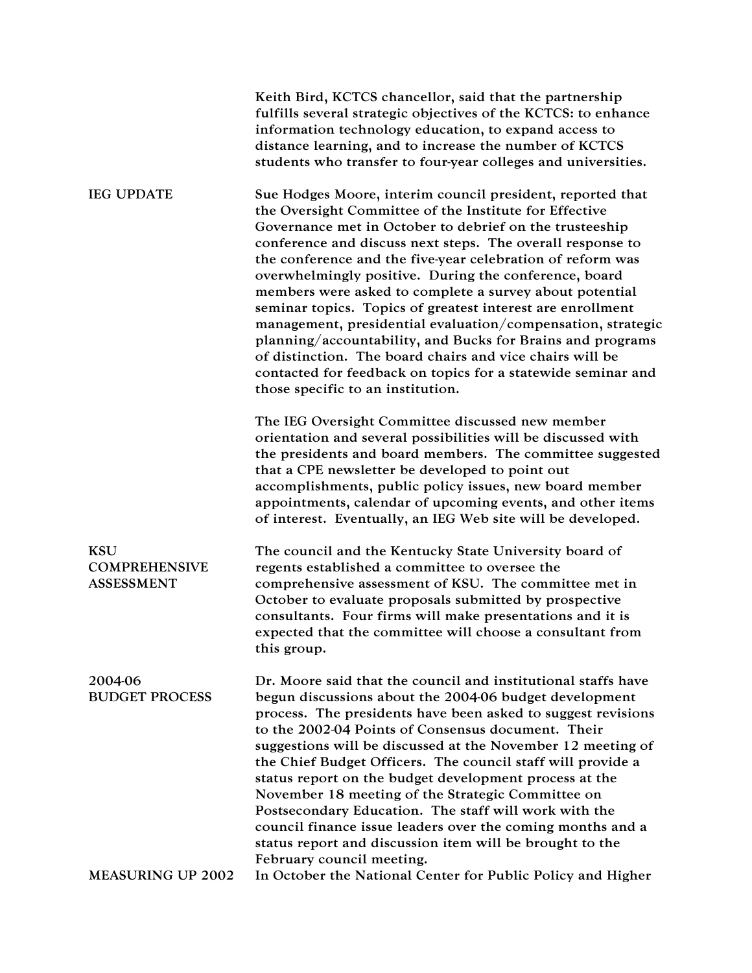|                                                         | Keith Bird, KCTCS chancellor, said that the partnership<br>fulfills several strategic objectives of the KCTCS: to enhance<br>information technology education, to expand access to<br>distance learning, and to increase the number of KCTCS<br>students who transfer to four-year colleges and universities.                                                                                                                                                                                                                                                                                                                                                                                                                                                                               |
|---------------------------------------------------------|---------------------------------------------------------------------------------------------------------------------------------------------------------------------------------------------------------------------------------------------------------------------------------------------------------------------------------------------------------------------------------------------------------------------------------------------------------------------------------------------------------------------------------------------------------------------------------------------------------------------------------------------------------------------------------------------------------------------------------------------------------------------------------------------|
| <b>IEG UPDATE</b>                                       | Sue Hodges Moore, interim council president, reported that<br>the Oversight Committee of the Institute for Effective<br>Governance met in October to debrief on the trusteeship<br>conference and discuss next steps. The overall response to<br>the conference and the five-year celebration of reform was<br>overwhelmingly positive. During the conference, board<br>members were asked to complete a survey about potential<br>seminar topics. Topics of greatest interest are enrollment<br>management, presidential evaluation/compensation, strategic<br>planning/accountability, and Bucks for Brains and programs<br>of distinction. The board chairs and vice chairs will be<br>contacted for feedback on topics for a statewide seminar and<br>those specific to an institution. |
|                                                         | The IEG Oversight Committee discussed new member<br>orientation and several possibilities will be discussed with<br>the presidents and board members. The committee suggested<br>that a CPE newsletter be developed to point out<br>accomplishments, public policy issues, new board member<br>appointments, calendar of upcoming events, and other items<br>of interest. Eventually, an IEG Web site will be developed.                                                                                                                                                                                                                                                                                                                                                                    |
| <b>KSU</b><br><b>COMPREHENSIVE</b><br><b>ASSESSMENT</b> | The council and the Kentucky State University board of<br>regents established a committee to oversee the<br>comprehensive assessment of KSU. The committee met in<br>October to evaluate proposals submitted by prospective<br>consultants. Four firms will make presentations and it is<br>expected that the committee will choose a consultant from<br>this group.                                                                                                                                                                                                                                                                                                                                                                                                                        |
| 2004-06<br><b>BUDGET PROCESS</b>                        | Dr. Moore said that the council and institutional staffs have<br>begun discussions about the 2004-06 budget development<br>process. The presidents have been asked to suggest revisions<br>to the 2002-04 Points of Consensus document. Their<br>suggestions will be discussed at the November 12 meeting of<br>the Chief Budget Officers. The council staff will provide a<br>status report on the budget development process at the<br>November 18 meeting of the Strategic Committee on<br>Postsecondary Education. The staff will work with the<br>council finance issue leaders over the coming months and a<br>status report and discussion item will be brought to the<br>February council meeting.                                                                                  |
| <b>MEASURING UP 2002</b>                                | In October the National Center for Public Policy and Higher                                                                                                                                                                                                                                                                                                                                                                                                                                                                                                                                                                                                                                                                                                                                 |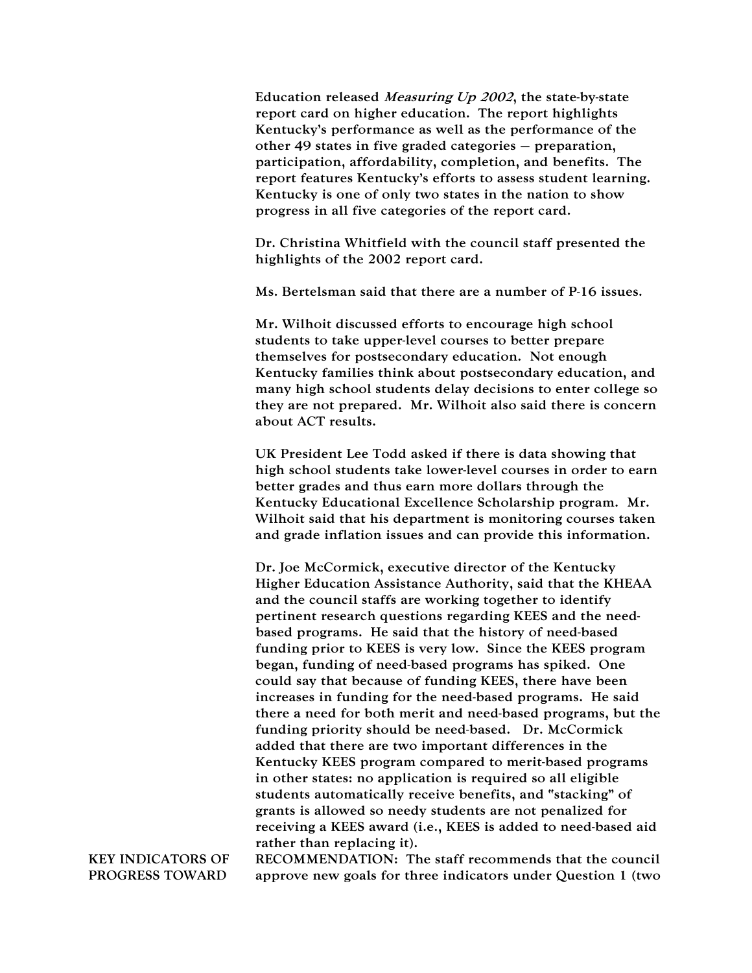Education released Measuring Up 2002, the state-by-state report card on higher education. The report highlights Kentucky's performance as well as the performance of the other 49 states in five graded categories – preparation, participation, affordability, completion, and benefits. The report features Kentucky's efforts to assess student learning. Kentucky is one of only two states in the nation to show progress in all five categories of the report card.

Dr. Christina Whitfield with the council staff presented the highlights of the 2002 report card.

Ms. Bertelsman said that there are a number of P-16 issues.

Mr. Wilhoit discussed efforts to encourage high school students to take upper-level courses to better prepare themselves for postsecondary education. Not enough Kentucky families think about postsecondary education, and many high school students delay decisions to enter college so they are not prepared. Mr. Wilhoit also said there is concern about ACT results.

UK President Lee Todd asked if there is data showing that high school students take lower-level courses in order to earn better grades and thus earn more dollars through the Kentucky Educational Excellence Scholarship program. Mr. Wilhoit said that his department is monitoring courses taken and grade inflation issues and can provide this information.

Dr. Joe McCormick, executive director of the Kentucky Higher Education Assistance Authority, said that the KHEAA and the council staffs are working together to identify pertinent research questions regarding KEES and the needbased programs. He said that the history of need-based funding prior to KEES is very low. Since the KEES program began, funding of need-based programs has spiked. One could say that because of funding KEES, there have been increases in funding for the need-based programs. He said there a need for both merit and need-based programs, but the funding priority should be need-based. Dr. McCormick added that there are two important differences in the Kentucky KEES program compared to merit-based programs in other states: no application is required so all eligible students automatically receive benefits, and "stacking" of grants is allowed so needy students are not penalized for receiving a KEES award (i.e., KEES is added to need-based aid rather than replacing it).

KEY INDICATORS OF PROGRESS TOWARD

RECOMMENDATION: The staff recommends that the council approve new goals for three indicators under Question 1 (two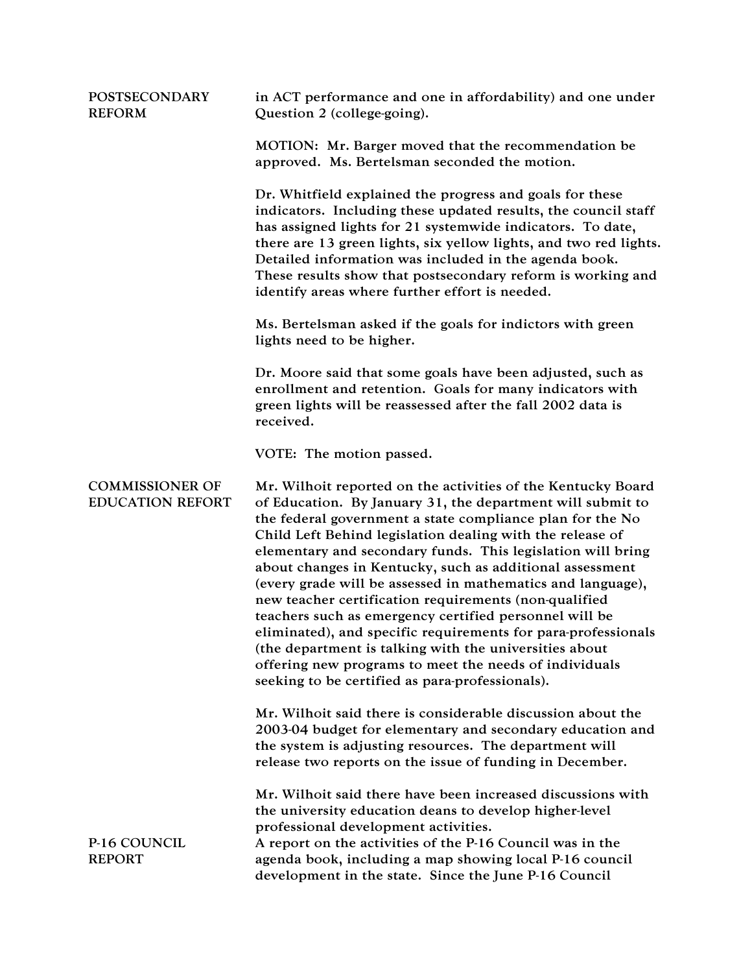| <b>POSTSECONDARY</b><br><b>REFORM</b>             | in ACT performance and one in affordability) and one under<br>Question 2 (college-going).                                                                                                                                                                                                                                                                                                                                                                                                                                                                                                                                                                                                                                                                                                                 |
|---------------------------------------------------|-----------------------------------------------------------------------------------------------------------------------------------------------------------------------------------------------------------------------------------------------------------------------------------------------------------------------------------------------------------------------------------------------------------------------------------------------------------------------------------------------------------------------------------------------------------------------------------------------------------------------------------------------------------------------------------------------------------------------------------------------------------------------------------------------------------|
|                                                   | MOTION: Mr. Barger moved that the recommendation be<br>approved. Ms. Bertelsman seconded the motion.                                                                                                                                                                                                                                                                                                                                                                                                                                                                                                                                                                                                                                                                                                      |
|                                                   | Dr. Whitfield explained the progress and goals for these<br>indicators. Including these updated results, the council staff<br>has assigned lights for 21 systemwide indicators. To date,<br>there are 13 green lights, six yellow lights, and two red lights.<br>Detailed information was included in the agenda book.<br>These results show that postsecondary reform is working and<br>identify areas where further effort is needed.                                                                                                                                                                                                                                                                                                                                                                   |
|                                                   | Ms. Bertelsman asked if the goals for indictors with green<br>lights need to be higher.                                                                                                                                                                                                                                                                                                                                                                                                                                                                                                                                                                                                                                                                                                                   |
|                                                   | Dr. Moore said that some goals have been adjusted, such as<br>enrollment and retention. Goals for many indicators with<br>green lights will be reassessed after the fall 2002 data is<br>received.                                                                                                                                                                                                                                                                                                                                                                                                                                                                                                                                                                                                        |
|                                                   | VOTE: The motion passed.                                                                                                                                                                                                                                                                                                                                                                                                                                                                                                                                                                                                                                                                                                                                                                                  |
| <b>COMMISSIONER OF</b><br><b>EDUCATION REFORT</b> | Mr. Wilhoit reported on the activities of the Kentucky Board<br>of Education. By January 31, the department will submit to<br>the federal government a state compliance plan for the No<br>Child Left Behind legislation dealing with the release of<br>elementary and secondary funds. This legislation will bring<br>about changes in Kentucky, such as additional assessment<br>(every grade will be assessed in mathematics and language),<br>new teacher certification requirements (non-qualified<br>teachers such as emergency certified personnel will be<br>eliminated), and specific requirements for para-professionals<br>(the department is talking with the universities about<br>offering new programs to meet the needs of individuals<br>seeking to be certified as para-professionals). |
|                                                   | Mr. Wilhoit said there is considerable discussion about the<br>2003-04 budget for elementary and secondary education and<br>the system is adjusting resources. The department will<br>release two reports on the issue of funding in December.                                                                                                                                                                                                                                                                                                                                                                                                                                                                                                                                                            |
| P-16 COUNCIL<br><b>REPORT</b>                     | Mr. Wilhoit said there have been increased discussions with<br>the university education deans to develop higher-level<br>professional development activities.<br>A report on the activities of the P-16 Council was in the<br>agenda book, including a map showing local P-16 council<br>development in the state. Since the June P-16 Council                                                                                                                                                                                                                                                                                                                                                                                                                                                            |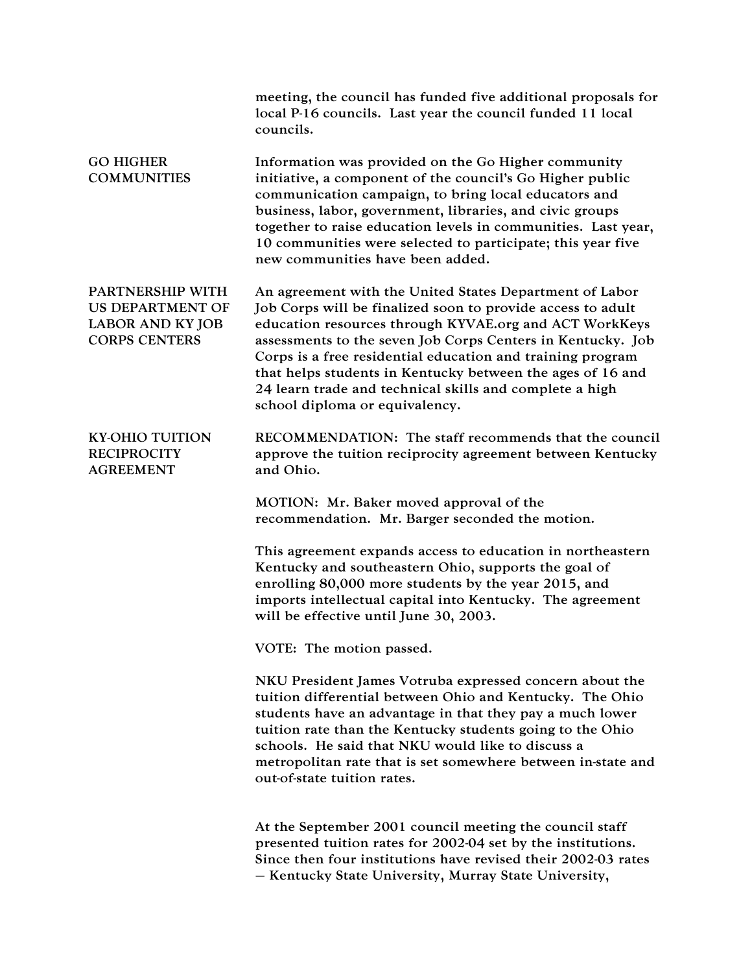|                                                                                                | meeting, the council has funded five additional proposals for<br>local P-16 councils. Last year the council funded 11 local<br>councils.                                                                                                                                                                                                                                                                                                                                 |
|------------------------------------------------------------------------------------------------|--------------------------------------------------------------------------------------------------------------------------------------------------------------------------------------------------------------------------------------------------------------------------------------------------------------------------------------------------------------------------------------------------------------------------------------------------------------------------|
| <b>GO HIGHER</b><br><b>COMMUNITIES</b>                                                         | Information was provided on the Go Higher community<br>initiative, a component of the council's Go Higher public<br>communication campaign, to bring local educators and<br>business, labor, government, libraries, and civic groups<br>together to raise education levels in communities. Last year,<br>10 communities were selected to participate; this year five<br>new communities have been added.                                                                 |
| PARTNERSHIP WITH<br><b>US DEPARTMENT OF</b><br><b>LABOR AND KY JOB</b><br><b>CORPS CENTERS</b> | An agreement with the United States Department of Labor<br>Job Corps will be finalized soon to provide access to adult<br>education resources through KYVAE.org and ACT WorkKeys<br>assessments to the seven Job Corps Centers in Kentucky. Job<br>Corps is a free residential education and training program<br>that helps students in Kentucky between the ages of 16 and<br>24 learn trade and technical skills and complete a high<br>school diploma or equivalency. |
| <b>KY-OHIO TUITION</b><br><b>RECIPROCITY</b><br><b>AGREEMENT</b>                               | RECOMMENDATION: The staff recommends that the council<br>approve the tuition reciprocity agreement between Kentucky<br>and Ohio.                                                                                                                                                                                                                                                                                                                                         |
|                                                                                                | MOTION: Mr. Baker moved approval of the<br>recommendation. Mr. Barger seconded the motion.                                                                                                                                                                                                                                                                                                                                                                               |
|                                                                                                | This agreement expands access to education in northeastern<br>Kentucky and southeastern Ohio, supports the goal of<br>enrolling 80,000 more students by the year 2015, and<br>imports intellectual capital into Kentucky. The agreement<br>will be effective until June 30, 2003.                                                                                                                                                                                        |
|                                                                                                | VOTE: The motion passed.                                                                                                                                                                                                                                                                                                                                                                                                                                                 |
|                                                                                                | NKU President James Votruba expressed concern about the<br>tuition differential between Ohio and Kentucky. The Ohio<br>students have an advantage in that they pay a much lower<br>tuition rate than the Kentucky students going to the Ohio<br>schools. He said that NKU would like to discuss a<br>metropolitan rate that is set somewhere between in-state and<br>out-of-state tuition rates.                                                                         |
|                                                                                                | At the September 2001 council meeting the council staff<br>presented tuition rates for 2002-04 set by the institutions.<br>Since then four institutions have revised their 2002-03 rates<br>- Kentucky State University, Murray State University,                                                                                                                                                                                                                        |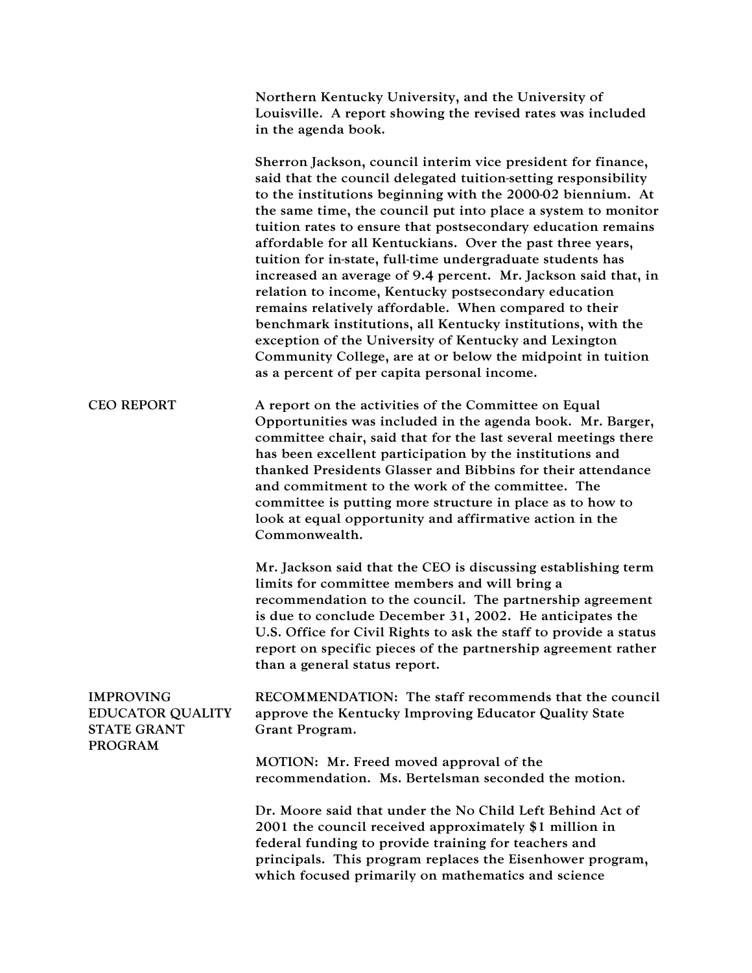|                                                                                     | Northern Kentucky University, and the University of<br>Louisville. A report showing the revised rates was included<br>in the agenda book.                                                                                                                                                                                                                                                                                                                                                                                                                                                                                                                                                                                                                                                                                                                                          |
|-------------------------------------------------------------------------------------|------------------------------------------------------------------------------------------------------------------------------------------------------------------------------------------------------------------------------------------------------------------------------------------------------------------------------------------------------------------------------------------------------------------------------------------------------------------------------------------------------------------------------------------------------------------------------------------------------------------------------------------------------------------------------------------------------------------------------------------------------------------------------------------------------------------------------------------------------------------------------------|
|                                                                                     | Sherron Jackson, council interim vice president for finance,<br>said that the council delegated tuition-setting responsibility<br>to the institutions beginning with the 2000-02 biennium. At<br>the same time, the council put into place a system to monitor<br>tuition rates to ensure that postsecondary education remains<br>affordable for all Kentuckians. Over the past three years,<br>tuition for in-state, full-time undergraduate students has<br>increased an average of 9.4 percent. Mr. Jackson said that, in<br>relation to income, Kentucky postsecondary education<br>remains relatively affordable. When compared to their<br>benchmark institutions, all Kentucky institutions, with the<br>exception of the University of Kentucky and Lexington<br>Community College, are at or below the midpoint in tuition<br>as a percent of per capita personal income. |
| <b>CEO REPORT</b>                                                                   | A report on the activities of the Committee on Equal<br>Opportunities was included in the agenda book. Mr. Barger,<br>committee chair, said that for the last several meetings there<br>has been excellent participation by the institutions and<br>thanked Presidents Glasser and Bibbins for their attendance<br>and commitment to the work of the committee. The<br>committee is putting more structure in place as to how to<br>look at equal opportunity and affirmative action in the<br>Commonwealth.                                                                                                                                                                                                                                                                                                                                                                       |
|                                                                                     | Mr. Jackson said that the CEO is discussing establishing term<br>limits for committee members and will bring a<br>recommendation to the council. The partnership agreement<br>is due to conclude December 31, 2002. He anticipates the<br>U.S. Office for Civil Rights to ask the staff to provide a status<br>report on specific pieces of the partnership agreement rather<br>than a general status report.                                                                                                                                                                                                                                                                                                                                                                                                                                                                      |
| <b>IMPROVING</b><br><b>EDUCATOR QUALITY</b><br><b>STATE GRANT</b><br><b>PROGRAM</b> | RECOMMENDATION: The staff recommends that the council<br>approve the Kentucky Improving Educator Quality State<br>Grant Program.                                                                                                                                                                                                                                                                                                                                                                                                                                                                                                                                                                                                                                                                                                                                                   |
|                                                                                     | MOTION: Mr. Freed moved approval of the<br>recommendation. Ms. Bertelsman seconded the motion.                                                                                                                                                                                                                                                                                                                                                                                                                                                                                                                                                                                                                                                                                                                                                                                     |
|                                                                                     | Dr. Moore said that under the No Child Left Behind Act of<br>2001 the council received approximately \$1 million in<br>federal funding to provide training for teachers and<br>principals. This program replaces the Eisenhower program,<br>which focused primarily on mathematics and science                                                                                                                                                                                                                                                                                                                                                                                                                                                                                                                                                                                     |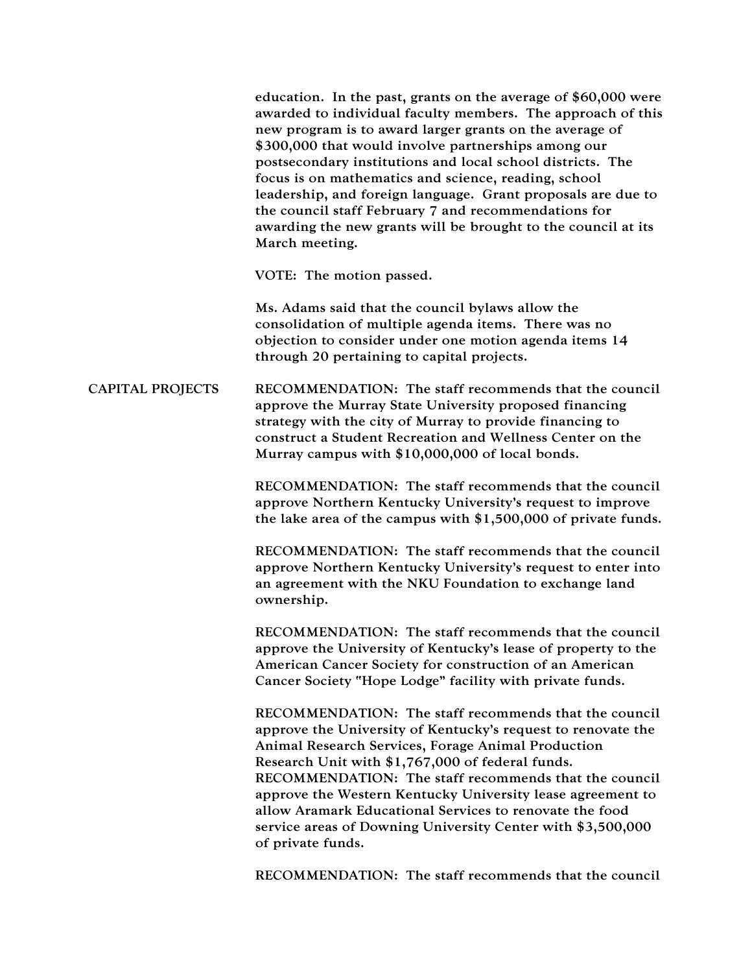CAPITAL PROJECTS education. In the past, grants on the average of \$60,000 were awarded to individual faculty members. The approach of this new program is to award larger grants on the average of \$300,000 that would involve partnerships among our postsecondary institutions and local school districts. The focus is on mathematics and science, reading, school leadership, and foreign language. Grant proposals are due to the council staff February 7 and recommendations for awarding the new grants will be brought to the council at its March meeting. VOTE: The motion passed. Ms. Adams said that the council bylaws allow the consolidation of multiple agenda items. There was no objection to consider under one motion agenda items 14 through 20 pertaining to capital projects. RECOMMENDATION: The staff recommends that the council approve the Murray State University proposed financing strategy with the city of Murray to provide financing to construct a Student Recreation and Wellness Center on the Murray campus with \$10,000,000 of local bonds. RECOMMENDATION: The staff recommends that the council approve Northern Kentucky University's request to improve the lake area of the campus with \$1,500,000 of private funds. RECOMMENDATION: The staff recommends that the council approve Northern Kentucky University's request to enter into an agreement with the NKU Foundation to exchange land ownership. RECOMMENDATION: The staff recommends that the council approve the University of Kentucky's lease of property to the American Cancer Society for construction of an American Cancer Society "Hope Lodge" facility with private funds. RECOMMENDATION: The staff recommends that the council approve the University of Kentucky's request to renovate the Animal Research Services, Forage Animal Production Research Unit with \$1,767,000 of federal funds. RECOMMENDATION: The staff recommends that the council approve the Western Kentucky University lease agreement to allow Aramark Educational Services to renovate the food service areas of Downing University Center with \$3,500,000 of private funds.

RECOMMENDATION: The staff recommends that the council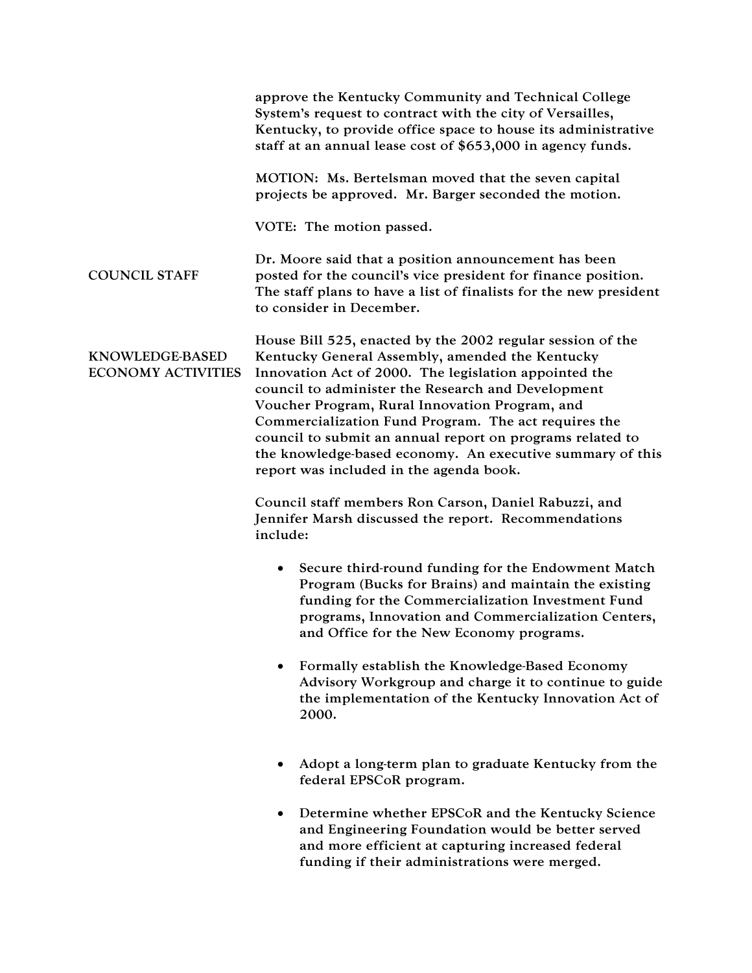|                                              | approve the Kentucky Community and Technical College<br>System's request to contract with the city of Versailles,<br>Kentucky, to provide office space to house its administrative<br>staff at an annual lease cost of \$653,000 in agency funds.                                                                                                                                                                                                                                                           |
|----------------------------------------------|-------------------------------------------------------------------------------------------------------------------------------------------------------------------------------------------------------------------------------------------------------------------------------------------------------------------------------------------------------------------------------------------------------------------------------------------------------------------------------------------------------------|
|                                              | MOTION: Ms. Bertelsman moved that the seven capital<br>projects be approved. Mr. Barger seconded the motion.                                                                                                                                                                                                                                                                                                                                                                                                |
|                                              | VOTE: The motion passed.                                                                                                                                                                                                                                                                                                                                                                                                                                                                                    |
| <b>COUNCIL STAFF</b>                         | Dr. Moore said that a position announcement has been<br>posted for the council's vice president for finance position.<br>The staff plans to have a list of finalists for the new president<br>to consider in December.                                                                                                                                                                                                                                                                                      |
| KNOWLEDGE-BASED<br><b>ECONOMY ACTIVITIES</b> | House Bill 525, enacted by the 2002 regular session of the<br>Kentucky General Assembly, amended the Kentucky<br>Innovation Act of 2000. The legislation appointed the<br>council to administer the Research and Development<br>Voucher Program, Rural Innovation Program, and<br>Commercialization Fund Program. The act requires the<br>council to submit an annual report on programs related to<br>the knowledge-based economy. An executive summary of this<br>report was included in the agenda book. |
|                                              | Council staff members Ron Carson, Daniel Rabuzzi, and<br>Jennifer Marsh discussed the report. Recommendations<br>include:                                                                                                                                                                                                                                                                                                                                                                                   |
|                                              | Secure third-round funding for the Endowment Match<br>$\bullet$<br>Program (Bucks for Brains) and maintain the existing<br>funding for the Commercialization Investment Fund<br>programs, Innovation and Commercialization Centers,<br>and Office for the New Economy programs.                                                                                                                                                                                                                             |
|                                              | Formally establish the Knowledge-Based Economy<br>Advisory Workgroup and charge it to continue to guide<br>the implementation of the Kentucky Innovation Act of<br>2000.                                                                                                                                                                                                                                                                                                                                    |
|                                              | Adopt a long-term plan to graduate Kentucky from the<br>federal EPSCoR program.                                                                                                                                                                                                                                                                                                                                                                                                                             |
|                                              | Determine whether EPSCoR and the Kentucky Science<br>and Engineering Foundation would be better served<br>and more efficient at capturing increased federal<br>funding if their administrations were merged.                                                                                                                                                                                                                                                                                                |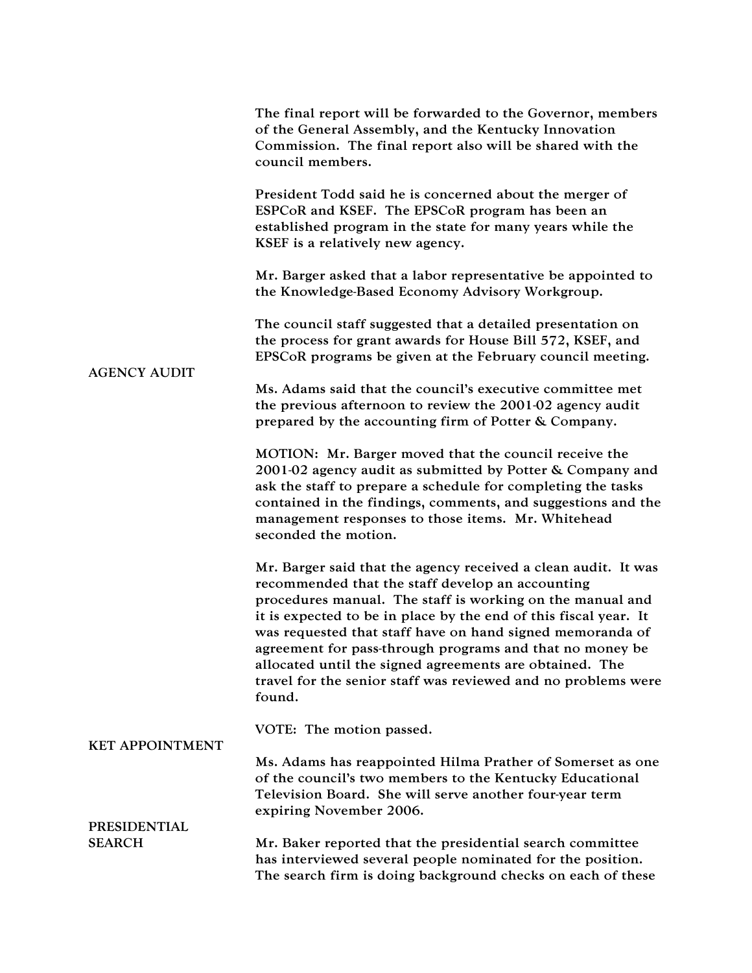| <b>AGENCY AUDIT</b>                  | The final report will be forwarded to the Governor, members<br>of the General Assembly, and the Kentucky Innovation<br>Commission. The final report also will be shared with the<br>council members.                                                                                                                                                                                                                                                                                                               |
|--------------------------------------|--------------------------------------------------------------------------------------------------------------------------------------------------------------------------------------------------------------------------------------------------------------------------------------------------------------------------------------------------------------------------------------------------------------------------------------------------------------------------------------------------------------------|
|                                      | President Todd said he is concerned about the merger of<br>ESPCoR and KSEF. The EPSCoR program has been an<br>established program in the state for many years while the<br>KSEF is a relatively new agency.                                                                                                                                                                                                                                                                                                        |
|                                      | Mr. Barger asked that a labor representative be appointed to<br>the Knowledge-Based Economy Advisory Workgroup.                                                                                                                                                                                                                                                                                                                                                                                                    |
|                                      | The council staff suggested that a detailed presentation on<br>the process for grant awards for House Bill 572, KSEF, and<br>EPSCoR programs be given at the February council meeting.                                                                                                                                                                                                                                                                                                                             |
|                                      | Ms. Adams said that the council's executive committee met<br>the previous afternoon to review the 2001-02 agency audit<br>prepared by the accounting firm of Potter & Company.                                                                                                                                                                                                                                                                                                                                     |
|                                      | MOTION: Mr. Barger moved that the council receive the<br>2001-02 agency audit as submitted by Potter & Company and<br>ask the staff to prepare a schedule for completing the tasks<br>contained in the findings, comments, and suggestions and the<br>management responses to those items. Mr. Whitehead<br>seconded the motion.                                                                                                                                                                                   |
|                                      | Mr. Barger said that the agency received a clean audit. It was<br>recommended that the staff develop an accounting<br>procedures manual. The staff is working on the manual and<br>it is expected to be in place by the end of this fiscal year. It<br>was requested that staff have on hand signed memoranda of<br>agreement for pass-through programs and that no money be<br>allocated until the signed agreements are obtained. The<br>travel for the senior staff was reviewed and no problems were<br>found. |
| <b>KET APPOINTMENT</b>               | VOTE: The motion passed.                                                                                                                                                                                                                                                                                                                                                                                                                                                                                           |
|                                      | Ms. Adams has reappointed Hilma Prather of Somerset as one<br>of the council's two members to the Kentucky Educational<br>Television Board. She will serve another four-year term<br>expiring November 2006.                                                                                                                                                                                                                                                                                                       |
| <b>PRESIDENTIAL</b><br><b>SEARCH</b> |                                                                                                                                                                                                                                                                                                                                                                                                                                                                                                                    |
|                                      | Mr. Baker reported that the presidential search committee<br>has interviewed several people nominated for the position.<br>The search firm is doing background checks on each of these                                                                                                                                                                                                                                                                                                                             |